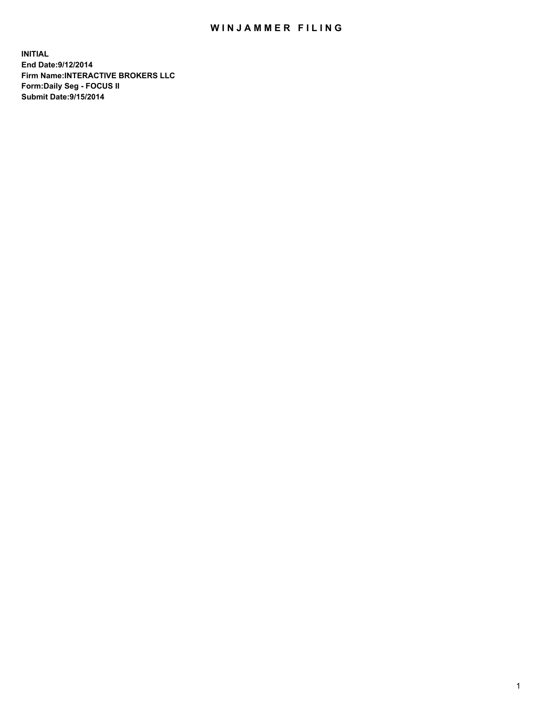## WIN JAMMER FILING

**INITIAL End Date:9/12/2014 Firm Name:INTERACTIVE BROKERS LLC Form:Daily Seg - FOCUS II Submit Date:9/15/2014**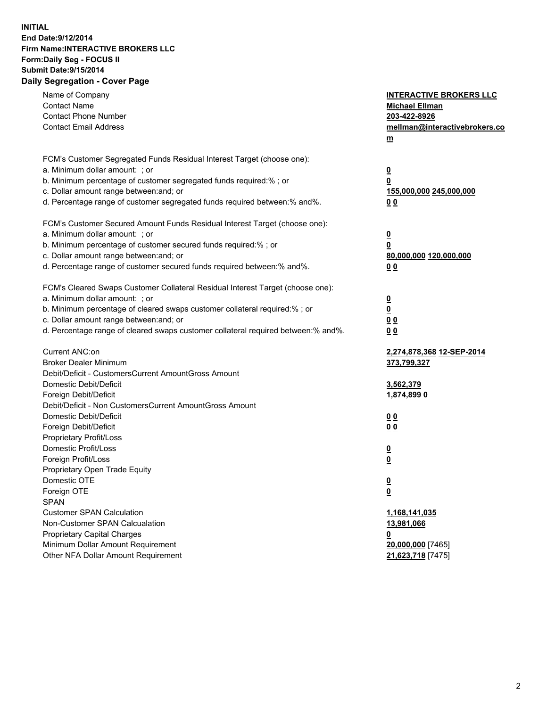## **INITIAL End Date:9/12/2014 Firm Name:INTERACTIVE BROKERS LLC Form:Daily Seg - FOCUS II Submit Date:9/15/2014 Daily Segregation - Cover Page**

| Name of Company                                                                   | <b>INTERACTIVE BROKERS LLC</b> |
|-----------------------------------------------------------------------------------|--------------------------------|
| <b>Contact Name</b>                                                               | <b>Michael Ellman</b>          |
| <b>Contact Phone Number</b>                                                       | 203-422-8926                   |
| <b>Contact Email Address</b>                                                      | mellman@interactivebrokers.co  |
|                                                                                   | $\underline{\mathbf{m}}$       |
| FCM's Customer Segregated Funds Residual Interest Target (choose one):            |                                |
| a. Minimum dollar amount: ; or                                                    | $\overline{\mathbf{0}}$        |
| b. Minimum percentage of customer segregated funds required:% ; or                | 0                              |
| c. Dollar amount range between: and; or                                           | 155,000,000 245,000,000        |
| d. Percentage range of customer segregated funds required between:% and%.         | 00                             |
| FCM's Customer Secured Amount Funds Residual Interest Target (choose one):        |                                |
| a. Minimum dollar amount: ; or                                                    |                                |
| b. Minimum percentage of customer secured funds required:% ; or                   | $\overline{\mathbf{0}}$<br>0   |
| c. Dollar amount range between: and; or                                           | 80,000,000 120,000,000         |
| d. Percentage range of customer secured funds required between:% and%.            | 00                             |
|                                                                                   |                                |
| FCM's Cleared Swaps Customer Collateral Residual Interest Target (choose one):    |                                |
| a. Minimum dollar amount: ; or                                                    | $\overline{\mathbf{0}}$        |
| b. Minimum percentage of cleared swaps customer collateral required:% ; or        | $\overline{\mathbf{0}}$        |
| c. Dollar amount range between: and; or                                           | 0 <sub>0</sub>                 |
| d. Percentage range of cleared swaps customer collateral required between:% and%. | 0 <sub>0</sub>                 |
| Current ANC:on                                                                    |                                |
| <b>Broker Dealer Minimum</b>                                                      | 2,274,878,368 12-SEP-2014      |
| Debit/Deficit - CustomersCurrent AmountGross Amount                               | 373,799,327                    |
| Domestic Debit/Deficit                                                            | 3,562,379                      |
| Foreign Debit/Deficit                                                             | <u>1,874,8990</u>              |
| Debit/Deficit - Non CustomersCurrent AmountGross Amount                           |                                |
| Domestic Debit/Deficit                                                            | 0 <sub>0</sub>                 |
| Foreign Debit/Deficit                                                             | 0 <sub>0</sub>                 |
| Proprietary Profit/Loss                                                           |                                |
| Domestic Profit/Loss                                                              | $\overline{\mathbf{0}}$        |
| Foreign Profit/Loss                                                               | $\underline{\mathbf{0}}$       |
| Proprietary Open Trade Equity                                                     |                                |
| Domestic OTE                                                                      | <u>0</u>                       |
| Foreign OTE                                                                       | <u>0</u>                       |
| <b>SPAN</b>                                                                       |                                |
| <b>Customer SPAN Calculation</b>                                                  | 1,168,141,035                  |
| Non-Customer SPAN Calcualation                                                    | 13,981,066                     |
| Proprietary Capital Charges                                                       | 0                              |
| Minimum Dollar Amount Requirement                                                 | 20,000,000 [7465]              |
| Other NFA Dollar Amount Requirement                                               | 21,623,718 [7475]              |
|                                                                                   |                                |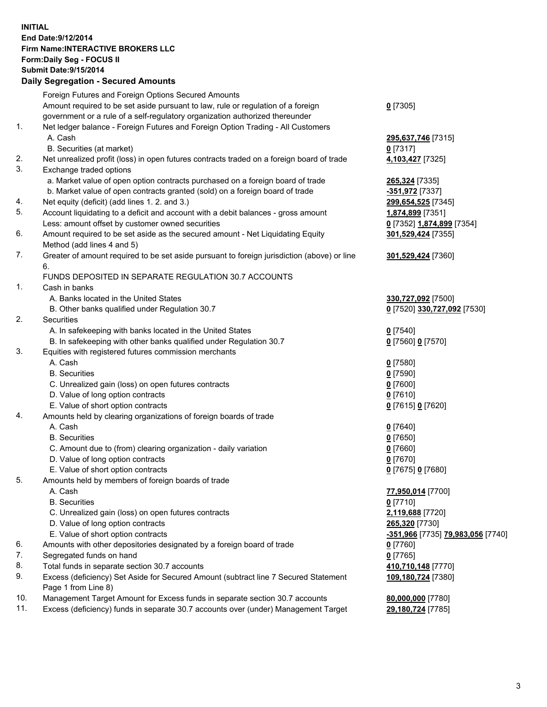## **INITIAL End Date:9/12/2014 Firm Name:INTERACTIVE BROKERS LLC Form:Daily Seg - FOCUS II Submit Date:9/15/2014 Daily Segregation - Secured Amounts**

|                | Daily Ocglegation - Occarea Anioants                                                                       |                                   |
|----------------|------------------------------------------------------------------------------------------------------------|-----------------------------------|
|                | Foreign Futures and Foreign Options Secured Amounts                                                        |                                   |
|                | Amount required to be set aside pursuant to law, rule or regulation of a foreign                           | $0$ [7305]                        |
|                | government or a rule of a self-regulatory organization authorized thereunder                               |                                   |
| 1.             | Net ledger balance - Foreign Futures and Foreign Option Trading - All Customers                            |                                   |
|                | A. Cash                                                                                                    | 295,637,746 [7315]                |
|                | B. Securities (at market)                                                                                  | $0$ [7317]                        |
| 2.             | Net unrealized profit (loss) in open futures contracts traded on a foreign board of trade                  | 4,103,427 [7325]                  |
| 3.             | Exchange traded options                                                                                    |                                   |
|                | a. Market value of open option contracts purchased on a foreign board of trade                             | 265,324 [7335]                    |
|                | b. Market value of open contracts granted (sold) on a foreign board of trade                               | -351,972 [7337]                   |
| 4.             | Net equity (deficit) (add lines 1.2. and 3.)                                                               | 299,654,525 [7345]                |
| 5.             | Account liquidating to a deficit and account with a debit balances - gross amount                          | 1,874,899 [7351]                  |
|                | Less: amount offset by customer owned securities                                                           | 0 [7352] 1,874,899 [7354]         |
| 6.             | Amount required to be set aside as the secured amount - Net Liquidating Equity                             | 301,529,424 [7355]                |
|                | Method (add lines 4 and 5)                                                                                 |                                   |
| 7.             | Greater of amount required to be set aside pursuant to foreign jurisdiction (above) or line                | 301,529,424 [7360]                |
|                | 6.                                                                                                         |                                   |
|                | FUNDS DEPOSITED IN SEPARATE REGULATION 30.7 ACCOUNTS                                                       |                                   |
| $\mathbf{1}$ . | Cash in banks                                                                                              |                                   |
|                | A. Banks located in the United States                                                                      | 330,727,092 [7500]                |
|                | B. Other banks qualified under Regulation 30.7                                                             | 0 [7520] 330,727,092 [7530]       |
| 2.             | Securities                                                                                                 |                                   |
|                | A. In safekeeping with banks located in the United States                                                  | $0$ [7540]                        |
|                | B. In safekeeping with other banks qualified under Regulation 30.7                                         | 0 [7560] 0 [7570]                 |
| 3.             | Equities with registered futures commission merchants                                                      |                                   |
|                | A. Cash                                                                                                    | $0$ [7580]                        |
|                | <b>B.</b> Securities                                                                                       | $0$ [7590]                        |
|                | C. Unrealized gain (loss) on open futures contracts                                                        | $0$ [7600]                        |
|                | D. Value of long option contracts                                                                          | $0$ [7610]                        |
|                | E. Value of short option contracts                                                                         | 0 [7615] 0 [7620]                 |
| 4.             | Amounts held by clearing organizations of foreign boards of trade                                          |                                   |
|                | A. Cash                                                                                                    | $Q$ [7640]                        |
|                | <b>B.</b> Securities                                                                                       | $0$ [7650]                        |
|                | C. Amount due to (from) clearing organization - daily variation                                            | $0$ [7660]                        |
|                | D. Value of long option contracts                                                                          | $0$ [7670]                        |
|                | E. Value of short option contracts                                                                         | 0 [7675] 0 [7680]                 |
| 5.             | Amounts held by members of foreign boards of trade                                                         |                                   |
|                | A. Cash                                                                                                    | 77,950,014 [7700]                 |
|                | <b>B.</b> Securities                                                                                       | $0$ [7710]                        |
|                | C. Unrealized gain (loss) on open futures contracts                                                        | 2,119,688 [7720]                  |
|                | D. Value of long option contracts                                                                          | 265,320 [7730]                    |
|                | E. Value of short option contracts                                                                         | -351,966 [7735] 79,983,056 [7740] |
| 6.             | Amounts with other depositories designated by a foreign board of trade                                     | <u>0</u> [7760]                   |
| 7.             | Segregated funds on hand                                                                                   | $0$ [7765]                        |
| 8.             | Total funds in separate section 30.7 accounts                                                              | 410,710,148 [7770]                |
| 9.             | Excess (deficiency) Set Aside for Secured Amount (subtract line 7 Secured Statement<br>Page 1 from Line 8) | 109,180,724 [7380]                |
| 10.            | Management Target Amount for Excess funds in separate section 30.7 accounts                                | 80,000,000 [7780]                 |
| 11.            | Excess (deficiency) funds in separate 30.7 accounts over (under) Management Target                         | 29,180,724 [7785]                 |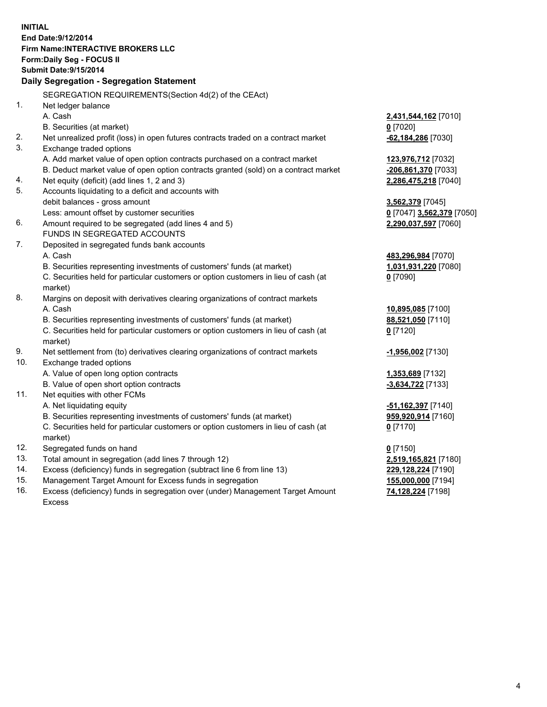**INITIAL End Date:9/12/2014 Firm Name:INTERACTIVE BROKERS LLC Form:Daily Seg - FOCUS II Submit Date:9/15/2014 Daily Segregation - Segregation Statement** SEGREGATION REQUIREMENTS(Section 4d(2) of the CEAct) 1. Net ledger balance A. Cash **2,431,544,162** [7010] B. Securities (at market) **0** [7020] 2. Net unrealized profit (loss) in open futures contracts traded on a contract market **-62,184,286** [7030] 3. Exchange traded options A. Add market value of open option contracts purchased on a contract market **123,976,712** [7032] B. Deduct market value of open option contracts granted (sold) on a contract market **-206,861,370** [7033] 4. Net equity (deficit) (add lines 1, 2 and 3) **2,286,475,218** [7040] 5. Accounts liquidating to a deficit and accounts with debit balances - gross amount **3,562,379** [7045] Less: amount offset by customer securities **0** [7047] **3,562,379** [7050] 6. Amount required to be segregated (add lines 4 and 5) **2,290,037,597** [7060] FUNDS IN SEGREGATED ACCOUNTS 7. Deposited in segregated funds bank accounts A. Cash **483,296,984** [7070] B. Securities representing investments of customers' funds (at market) **1,031,931,220** [7080] C. Securities held for particular customers or option customers in lieu of cash (at market) **0** [7090] 8. Margins on deposit with derivatives clearing organizations of contract markets A. Cash **10,895,085** [7100] B. Securities representing investments of customers' funds (at market) **88,521,050** [7110] C. Securities held for particular customers or option customers in lieu of cash (at market) **0** [7120] 9. Net settlement from (to) derivatives clearing organizations of contract markets **-1,956,002** [7130] 10. Exchange traded options A. Value of open long option contracts **1,353,689** [7132] B. Value of open short option contracts **-3,634,722** [7133] 11. Net equities with other FCMs A. Net liquidating equity **-51,162,397** [7140] B. Securities representing investments of customers' funds (at market) **959,920,914** [7160] C. Securities held for particular customers or option customers in lieu of cash (at market) **0** [7170] 12. Segregated funds on hand **0** [7150] 13. Total amount in segregation (add lines 7 through 12) **2,519,165,821** [7180] 14. Excess (deficiency) funds in segregation (subtract line 6 from line 13) **229,128,224** [7190] 15. Management Target Amount for Excess funds in segregation **155,000,000** [7194]

16. Excess (deficiency) funds in segregation over (under) Management Target Amount Excess

**74,128,224** [7198]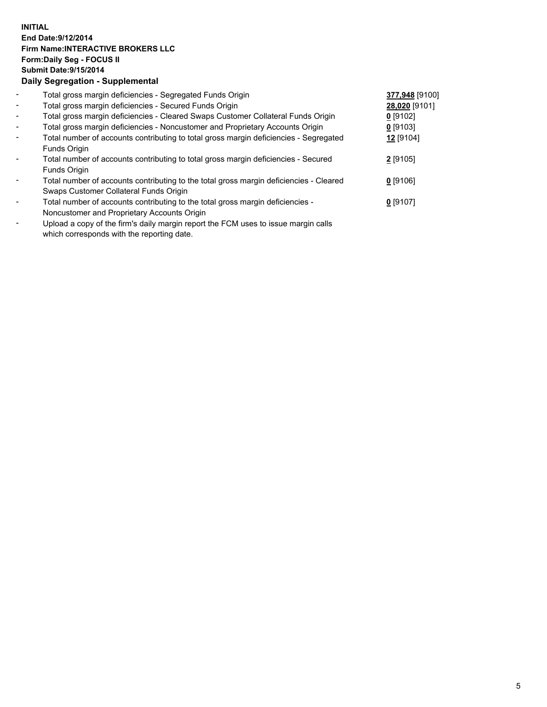## **INITIAL End Date:9/12/2014 Firm Name:INTERACTIVE BROKERS LLC Form:Daily Seg - FOCUS II Submit Date:9/15/2014 Daily Segregation - Supplemental**

| $\overline{\phantom{a}}$ | Total gross margin deficiencies - Segregated Funds Origin                              | 377,948 [9100] |  |
|--------------------------|----------------------------------------------------------------------------------------|----------------|--|
| $\blacksquare$           | Total gross margin deficiencies - Secured Funds Origin                                 | 28,020 [9101]  |  |
| $\blacksquare$           | Total gross margin deficiencies - Cleared Swaps Customer Collateral Funds Origin       | $0$ [9102]     |  |
| $\blacksquare$           | Total gross margin deficiencies - Noncustomer and Proprietary Accounts Origin          | 0 [9103]       |  |
| $\blacksquare$           | Total number of accounts contributing to total gross margin deficiencies - Segregated  | 12 [9104]      |  |
|                          | Funds Origin                                                                           |                |  |
|                          | Total number of accounts contributing to total gross margin deficiencies - Secured     | 2 [9105]       |  |
|                          | Funds Origin                                                                           |                |  |
|                          | Total number of accounts contributing to the total gross margin deficiencies - Cleared | $0$ [9106]     |  |
|                          | Swaps Customer Collateral Funds Origin                                                 |                |  |
|                          | Total number of accounts contributing to the total gross margin deficiencies -         | $0$ [9107]     |  |
|                          | Noncustomer and Proprietary Accounts Origin                                            |                |  |
|                          |                                                                                        |                |  |

- Upload a copy of the firm's daily margin report the FCM uses to issue margin calls which corresponds with the reporting date.